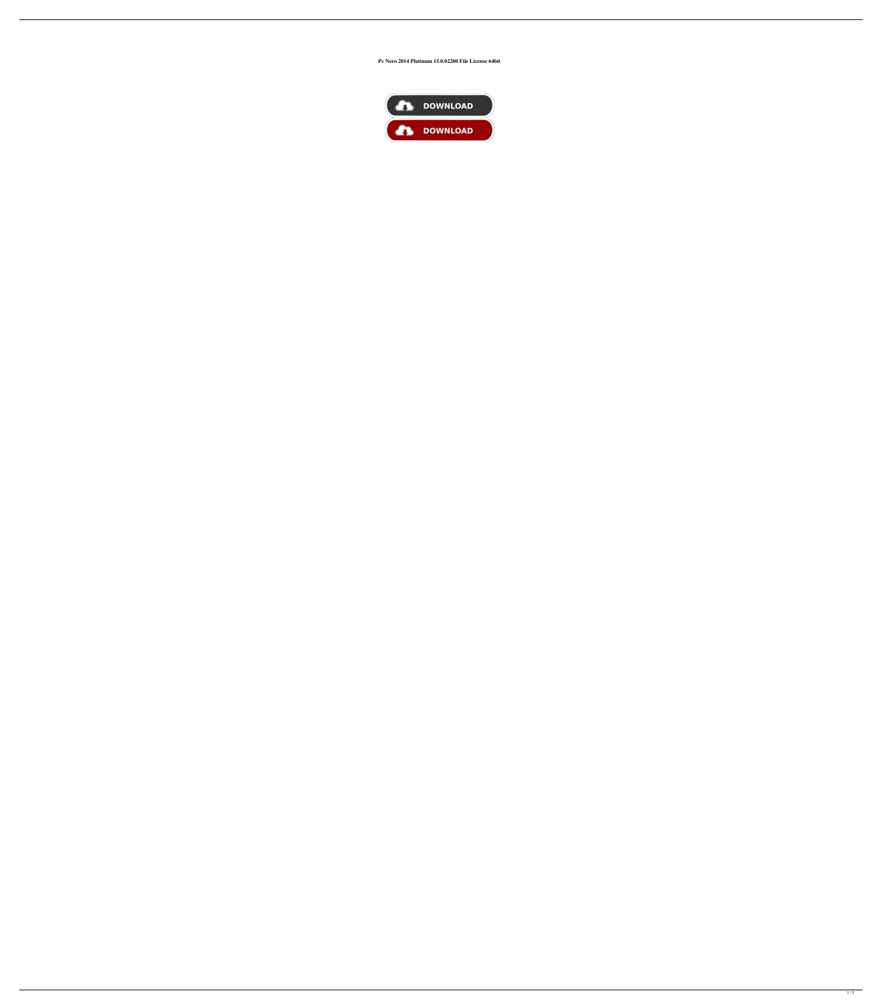## **Pc Nero 2014 Platinum 15.0.02200 File License 64bit**